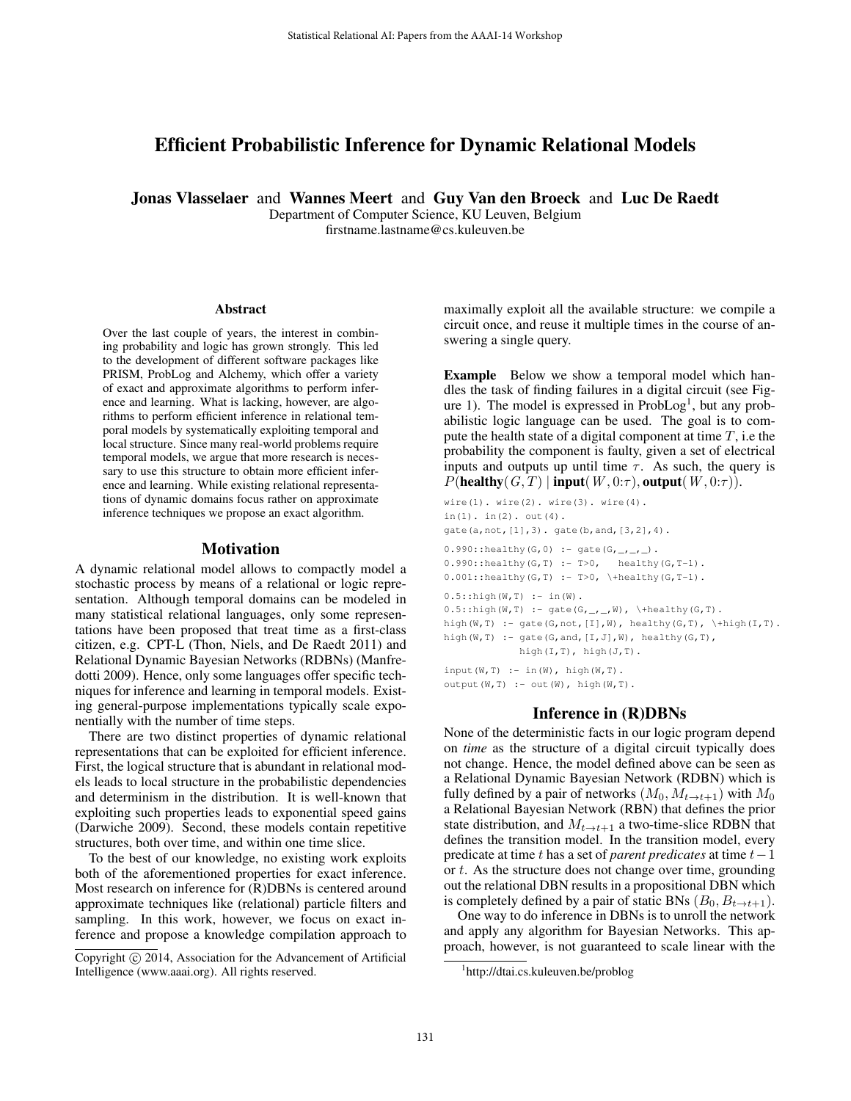# Efficient Probabilistic Inference for Dynamic Relational Models

Jonas Vlasselaer and Wannes Meert and Guy Van den Broeck and Luc De Raedt

Department of Computer Science, KU Leuven, Belgium firstname.lastname@cs.kuleuven.be

#### Abstract

Over the last couple of years, the interest in combining probability and logic has grown strongly. This led to the development of different software packages like PRISM, ProbLog and Alchemy, which offer a variety of exact and approximate algorithms to perform inference and learning. What is lacking, however, are algorithms to perform efficient inference in relational temporal models by systematically exploiting temporal and local structure. Since many real-world problems require temporal models, we argue that more research is necessary to use this structure to obtain more efficient inference and learning. While existing relational representations of dynamic domains focus rather on approximate inference techniques we propose an exact algorithm.

#### Motivation

A dynamic relational model allows to compactly model a stochastic process by means of a relational or logic representation. Although temporal domains can be modeled in many statistical relational languages, only some representations have been proposed that treat time as a first-class citizen, e.g. CPT-L (Thon, Niels, and De Raedt 2011) and Relational Dynamic Bayesian Networks (RDBNs) (Manfredotti 2009). Hence, only some languages offer specific techniques for inference and learning in temporal models. Existing general-purpose implementations typically scale exponentially with the number of time steps.

There are two distinct properties of dynamic relational representations that can be exploited for efficient inference. First, the logical structure that is abundant in relational models leads to local structure in the probabilistic dependencies and determinism in the distribution. It is well-known that exploiting such properties leads to exponential speed gains (Darwiche 2009). Second, these models contain repetitive structures, both over time, and within one time slice.

To the best of our knowledge, no existing work exploits both of the aforementioned properties for exact inference. Most research on inference for (R)DBNs is centered around approximate techniques like (relational) particle filters and sampling. In this work, however, we focus on exact inference and propose a knowledge compilation approach to

maximally exploit all the available structure: we compile a circuit once, and reuse it multiple times in the course of answering a single query.

Example Below we show a temporal model which handles the task of finding failures in a digital circuit (see Figure 1). The model is expressed in ProbLog<sup>1</sup>, but any probabilistic logic language can be used. The goal is to compute the health state of a digital component at time  $T$ , i.e the probability the component is faulty, given a set of electrical inputs and outputs up until time  $\tau$ . As such, the query is  $P(\textbf{healthy}(G, T) | \textbf{input}(W, 0:\tau), \textbf{output}(W, 0:\tau)).$ 

```
wire(1). wire(2). wire(3). wire(4).
in(1). in(2). out(4).
gate(a,not,[1],3). gate(b,and,[3,2],4).
0.990::\text{healthy}(G, 0) :- \text{gate}(G, _{-}, _{-}, _{-}).
0.990::healthy(G,T) :- T>0, healthy(G,T-1).
0.001::healthy(G,T) :- T>0, \+healthy(G,T-1).
0.5::high(W, T) :- in(W).
0.5::high(W,T) :- gate(G, _{-,-}, W), \ \thetaalthy(G,T).high(W,T) :- gate(G,not, [I],W), healthy(G,T), \+high(I,T).
high(W, T) :- gate(G,and, [I, J], W), healthy(G, T),
              high(I,T), high(J,T).
input (W, T) :- in (W), high(W, T).
output(W,T) : - out(W), high(W,T).
```
### Inference in (R)DBNs

None of the deterministic facts in our logic program depend on *time* as the structure of a digital circuit typically does not change. Hence, the model defined above can be seen as a Relational Dynamic Bayesian Network (RDBN) which is fully defined by a pair of networks  $(M_0, M_{t\to t+1})$  with  $M_0$ a Relational Bayesian Network (RBN) that defines the prior state distribution, and  $M_{t\rightarrow t+1}$  a two-time-slice RDBN that defines the transition model. In the transition model, every predicate at time t has a set of *parent predicates* at time t−1 or t. As the structure does not change over time, grounding out the relational DBN results in a propositional DBN which is completely defined by a pair of static BNs  $(B_0, B_{t \to t+1})$ .

One way to do inference in DBNs is to unroll the network and apply any algorithm for Bayesian Networks. This approach, however, is not guaranteed to scale linear with the

Copyright (c) 2014, Association for the Advancement of Artificial Intelligence (www.aaai.org). All rights reserved.

<sup>1</sup> http://dtai.cs.kuleuven.be/problog